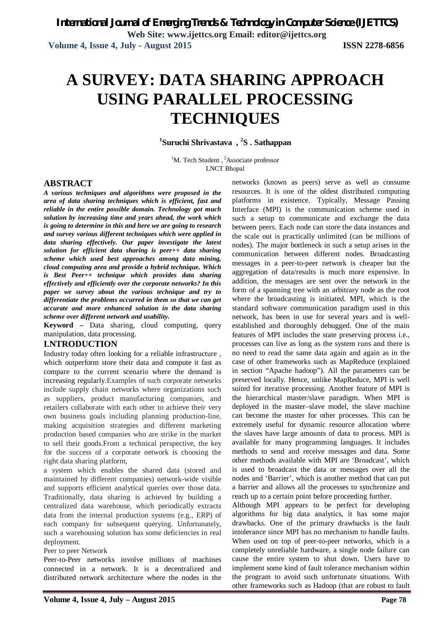# **A SURVEY: DATA SHARING APPROACH USING PARALLEL PROCESSING TECHNIQUES**

**1 Suruchi Shrivastava , <sup>2</sup> S . Sathappan**

<sup>1</sup>M. Tech Student,  $^{2}$ Associate professor LNCT Bhopal

#### **ABSTRACT**

*A various techniques and algorithms were proposed in the area of data sharing techniques which is efficient, fast and reliable in the entire possible domain. Technology got much solution by increasing time and years ahead, the work which is going to determine in this and here we are going to research and survey various different techniques which were applied in data sharing effectively. Our paper investigate the latest solution for efficient data sharing is peer++ data sharing scheme which used best approaches among data mining, cloud computing area and provide a hybrid technique. Which is Best Peer++ technique which provides data sharing effectively and efficiently over the corporate networks? In this paper we survey about the various technique and try to differentiate the problems occurred in them so that we can get accurate and more enhanced solution in the data sharing scheme over different network and usability.*

**Keyword –** Data sharing, cloud computing, query manipulation, data processing.

#### **I.NTRODUCTION**

Industry today often looking for a reliable infrastructure , which outperform store their data and compute it fast as compare to the current scenario where the demand is increasing regularly.Examples of such corporate networks include supply chain networks where organizations such as suppliers, product manufacturing companies, and retailers collaborate with each other to achieve their very own business goals including planning production-line, making acquisition strategies and different marketing production based companies who are strike in the market to sell their goods.From a technical perspective, the key for the success of a corporate network is choosing the right data sharing platform,

a system which enables the shared data (stored and maintained by different companies) network-wide visible and supports efficient analytical queries over those data. Traditionally, data sharing is achieved by building a centralized data warehouse, which periodically extracts data from the internal production systems (e.g., ERP) of each company for subsequent querying. Unfortunately, such a warehousing solution has some deficiencies in real deployment.

#### Peer to peer Network

Peer-to-Peer networks involve millions of machines connected in a network. It is a decentralized and distributed network architecture where the nodes in the

networks (known as peers) serve as well as consume resources. It is one of the oldest distributed computing platforms in existence. Typically, Message Passing Interface (MPI) is the communication scheme used in such a setup to communicate and exchange the data between peers. Each node can store the data instances and the scale out is practically unlimited (can be millions of nodes). The major bottleneck in such a setup arises in the communication between different nodes. Broadcasting messages in a peer-to-peer network is cheaper but the aggregation of data/results is much more expensive. In addition, the messages are sent over the network in the form of a spanning tree with an arbitrary node as the root where the broadcasting is initiated. MPI, which is the standard software communication paradigm used in this network, has been in use for several years and is wellestablished and thoroughly debugged. One of the main features of MPI includes the state preserving process i.e., processes can live as long as the system runs and there is no need to read the same data again and again as in the case of other frameworks such as MapReduce (explained in section "Apache hadoop"). All the parameters can be preserved locally. Hence, unlike MapReduce, MPI is well suited for iterative processing. Another feature of MPI is the hierarchical master/slave paradigm. When MPI is deployed in the master–slave model, the slave machine can become the master for other processes. This can be extremely useful for dynamic resource allocation where the slaves have large amounts of data to process. MPI is available for many programming languages. It includes methods to send and receive messages and data. Some other methods available with MPI are 'Broadcast', which is used to broadcast the data or messages over all the nodes and 'Barrier', which is another method that can put a barrier and allows all the processes to synchronize and reach up to a certain point before proceeding further.

Although MPI appears to be perfect for developing algorithms for big data analytics, it has some major drawbacks. One of the primary drawbacks is the fault intolerance since MPI has no mechanism to handle faults. When used on top of peer-to-peer networks, which is a completely unreliable hardware, a single node failure can cause the entire system to shut down. Users have to implement some kind of fault tolerance mechanism within the program to avoid such unfortunate situations. With other frameworks such as Hadoop (that are robust to fault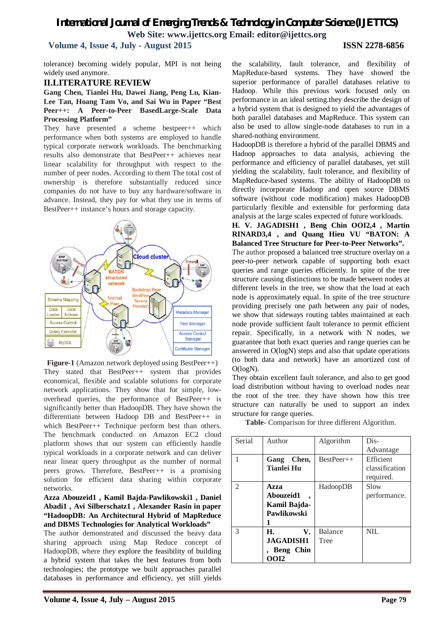# *International Journal of Emerging Trends & Technology in Computer Science (IJETTCS)* **Web Site: www.ijettcs.org Email: editor@ijettcs.org**

 **Volume 4, Issue 4, July - August 2015 ISSN 2278-6856**

tolerance) becoming widely popular, MPI is not being widely used anymore.

### **II.LITERATURE REVIEW**

#### **Gang Chen, Tianlei Hu, Dawei Jiang, Peng Lu, Kian-Lee Tan, Hoang Tam Vo, and Sai Wu in Paper "Best Peer++: A Peer-to-Peer BasedLarge-Scale Data Processing Platform"**

They have presented a scheme bestpeer++ which performance when both systems are employed to handle typical corporate network workloads. The benchmarking results also demonstrate that BestPeer++ achieves near linear scalability for throughput with respect to the number of peer nodes. According to them The total cost of ownership is therefore substantially reduced since companies do not have to buy any hardware/software in advance. Instead, they pay for what they use in terms of BestPeer++ instance's hours and storage capacity.



**Figure-1** (Amazon network deployed using BestPeer++) They stated that BestPeer++ system that provides economical, flexible and scalable solutions for corporate network applications. They show that for simple, lowoverhead queries, the performance of BestPeer++ is significantly better than HadoopDB. They have shown the differentiate between Hadoop DB and BestPeer++ in which BestPeer<sub>++</sub> Technique perform best than others. The benchmark conducted on Amazon EC2 cloud platform shows that our system can efficiently handle typical workloads in a corporate network and can deliver near linear query throughput as the number of normal peers grows. Therefore, BestPeer++ is a promising solution for efficient data sharing within corporate networks.

#### **Azza Abouzeid1 , Kamil Bajda-Pawlikowski1 , Daniel Abadi1 , Avi Silberschatz1 , Alexander Rasin in paper "HadoopDB: An Architectural Hybrid of MapReduce and DBMS Technologies for Analytical Workloads"**

The author demonstrated and discussed the heavy data sharing approach using Map Reduce concept of HadoopDB, where they explore the feasibility of building a hybrid system that takes the best features from both technologies; the prototype we built approaches parallel databases in performance and efficiency, yet still yields

the scalability, fault tolerance, and flexibility of MapReduce-based systems. They have showed the superior performance of parallel databases relative to Hadoop. While this previous work focused only on performance in an ideal setting.they describe the design of a hybrid system that is designed to yield the advantages of both parallel databases and MapReduce. This system can also be used to allow single-node databases to run in a shared-nothing environment.

HadoopDB is therefore a hybrid of the parallel DBMS and Hadoop approaches to data analysis, achieving the performance and efficiency of parallel databases, yet still yielding the scalability, fault tolerance, and flexibility of MapReduce-based systems. The ability of HadoopDB to directly incorporate Hadoop and open source DBMS software (without code modification) makes HadoopDB particularly flexible and extensible for performing data analysis at the large scales expected of future workloads.

**H. V. JAGADISH1 , Beng Chin OOI2,4 , Martin RINARD3,4 , and Quang Hieu VU "BATON: A Balanced Tree Structure for Peer-to-Peer Networks".**

The author proposed a balanced tree structure overlay on a peer-to-peer network capable of supporting both exact queries and range queries efficiently. In spite of the tree structure causing distinctions to be made between nodes at different levels in the tree, we show that the load at each node is approximately equal. In spite of the tree structure providing precisely one path between any pair of nodes, we show that sideways routing tables maintained at each node provide sufficient fault tolerance to permit efficient repair. Specifically, in a network with N nodes, we guarantee that both exact queries and range queries can be answered in O(logN) steps and also that update operations (to both data and network) have an amortized cost of O(logN).

They obtain excellent fault tolerance, and also to get good load distribution without having to overload nodes near the root of the tree. they have shown how this tree structure can naturally be used to support an index structure for range queries.

| Serial         | Author            | Algorithm      | Dis-           |
|----------------|-------------------|----------------|----------------|
|                |                   |                | Advantage      |
| 1              | Chen,<br>Gang     | $BestPear++$   | Efficient      |
|                | <b>Tianlei Hu</b> |                | classification |
|                |                   |                | required.      |
| $\mathfrak{D}$ | Azza              | HadoopDB       | Slow           |
|                | Abouzeid1         |                | performance.   |
|                | Kamil Bajda-      |                |                |
|                | Pawlikowski       |                |                |
|                |                   |                |                |
| 3              | Н.<br>V.          | <b>Balance</b> | NIL.           |
|                | JAGADISH1         | Tree           |                |
|                | Beng Chin         |                |                |
|                | <b>OOI2</b>       |                |                |

**Table-** Comparison for three different Algorithm.